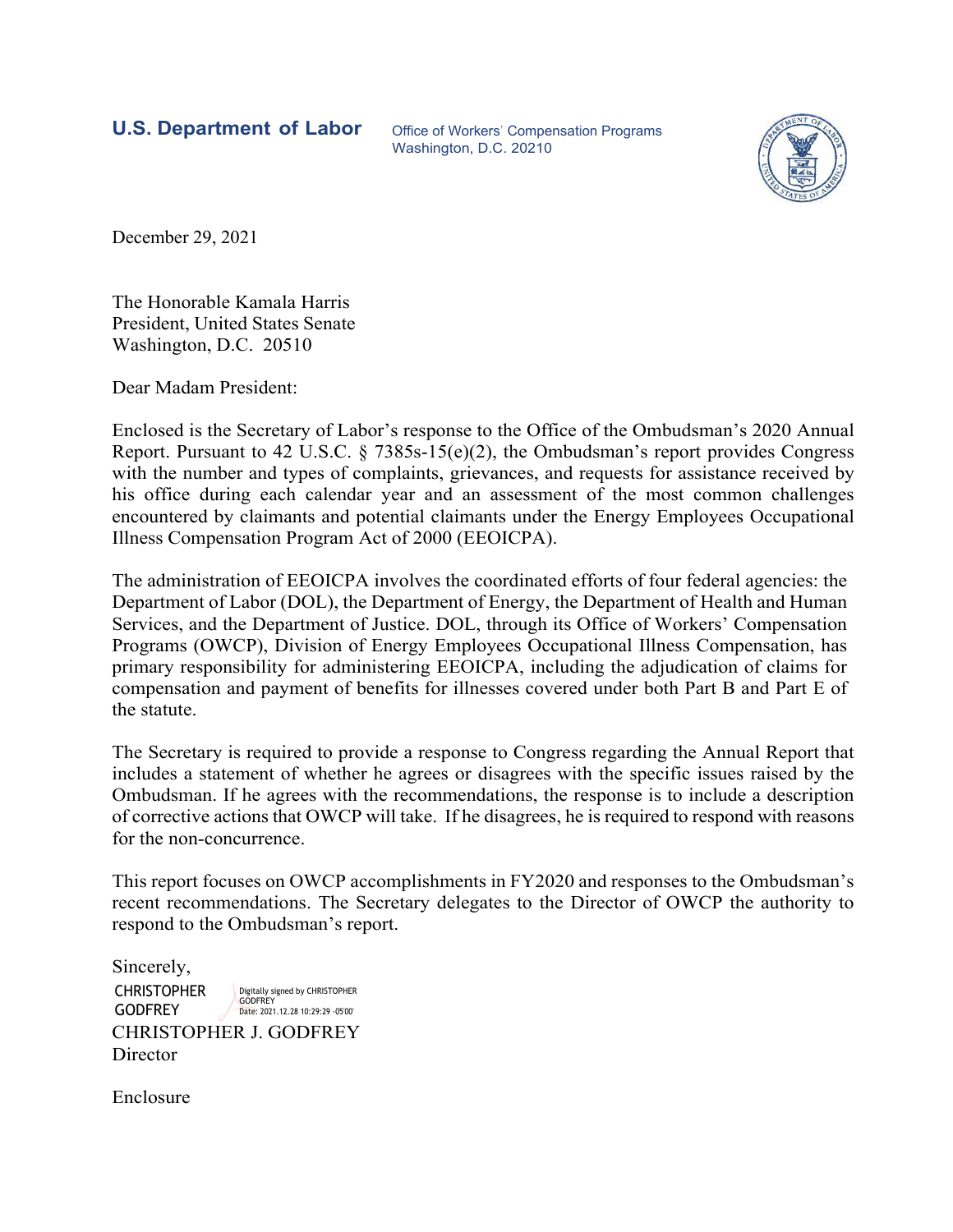**U.S. Department of Labor** Office of Workers' Compensation Programs

Washington, D.C. 20210



December 29, 2021

The Honorable Kamala Harris President, United States Senate Washington, D.C. 20510

Dear Madam President:

Enclosed is the Secretary of Labor's response to the Office of the Ombudsman's 2020 Annual Report. Pursuant to 42 U.S.C. § 7385s-15(e)(2), the Ombudsman's report provides Congress with the number and types of complaints, grievances, and requests for assistance received by his office during each calendar year and an assessment of the most common challenges encountered by claimants and potential claimants under the Energy Employees Occupational Illness Compensation Program Act of 2000 (EEOICPA).

The administration of EEOICPA involves the coordinated efforts of four federal agencies: the Department of Labor (DOL), the Department of Energy, the Department of Health and Human Services, and the Department of Justice. DOL, through its Office of Workers' Compensation Programs (OWCP), Division of Energy Employees Occupational Illness Compensation, has primary responsibility for administering EEOICPA, including the adjudication of claims for compensation and payment of benefits for illnesses covered under both Part B and Part E of the statute.

The Secretary is required to provide a response to Congress regarding the Annual Report that includes a statement of whether he agrees or disagrees with the specific issues raised by the Ombudsman. If he agrees with the recommendations, the response is to include a description of corrective actions that OWCP will take. If he disagrees, he is required to respond with reasons for the non-concurrence.

This report focuses on OWCP accomplishments in FY2020 and responses to the Ombudsman's recent recommendations. The Secretary delegates to the Director of OWCP the authority to respond to the Ombudsman's report.

CHRISTOPHER J. GODFREY **Director** Sincerely, **CHRISTOPHER GODFREY** Digitally signed by CHRISTOPHER **GODFREY** Date: 2021.12.28 10:29:29 -05'00'

Enclosure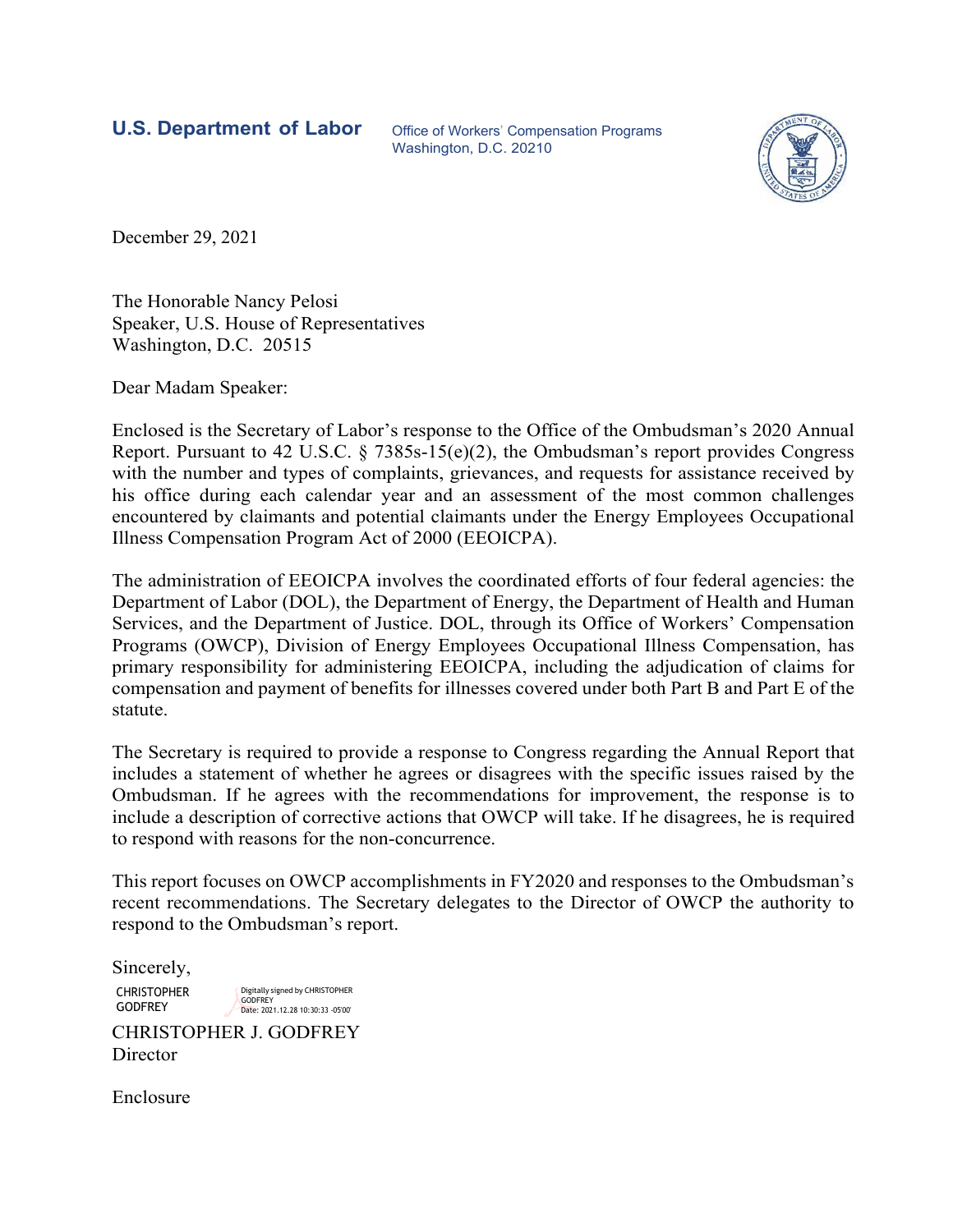**U.S. Department of Labor** Office of Workers' Compensation Programs

Washington, D.C. 20210



December 29, 2021

The Honorable Nancy Pelosi Speaker, U.S. House of Representatives Washington, D.C. 20515

Dear Madam Speaker:

Enclosed is the Secretary of Labor's response to the Office of the Ombudsman's 2020 Annual Report. Pursuant to 42 U.S.C. § 7385s-15(e)(2), the Ombudsman's report provides Congress with the number and types of complaints, grievances, and requests for assistance received by his office during each calendar year and an assessment of the most common challenges encountered by claimants and potential claimants under the Energy Employees Occupational Illness Compensation Program Act of 2000 (EEOICPA).

The administration of EEOICPA involves the coordinated efforts of four federal agencies: the Department of Labor (DOL), the Department of Energy, the Department of Health and Human Services, and the Department of Justice. DOL, through its Office of Workers' Compensation Programs (OWCP), Division of Energy Employees Occupational Illness Compensation, has primary responsibility for administering EEOICPA, including the adjudication of claims for compensation and payment of benefits for illnesses covered under both Part B and Part E of the statute.

The Secretary is required to provide a response to Congress regarding the Annual Report that includes a statement of whether he agrees or disagrees with the specific issues raised by the Ombudsman. If he agrees with the recommendations for improvement, the response is to include a description of corrective actions that OWCP will take. If he disagrees, he is required to respond with reasons for the non-concurrence.

This report focuses on OWCP accomplishments in FY2020 and responses to the Ombudsman's recent recommendations. The Secretary delegates to the Director of OWCP the authority to respond to the Ombudsman's report.

Sincerely,

CHRISTOPHER GODFREY

Digitally signed by CHRISTOPHER GODFREY Date: 2021.12.28 10:30:33 -05'00'

CHRISTOPHER J. GODFREY **Director** 

Enclosure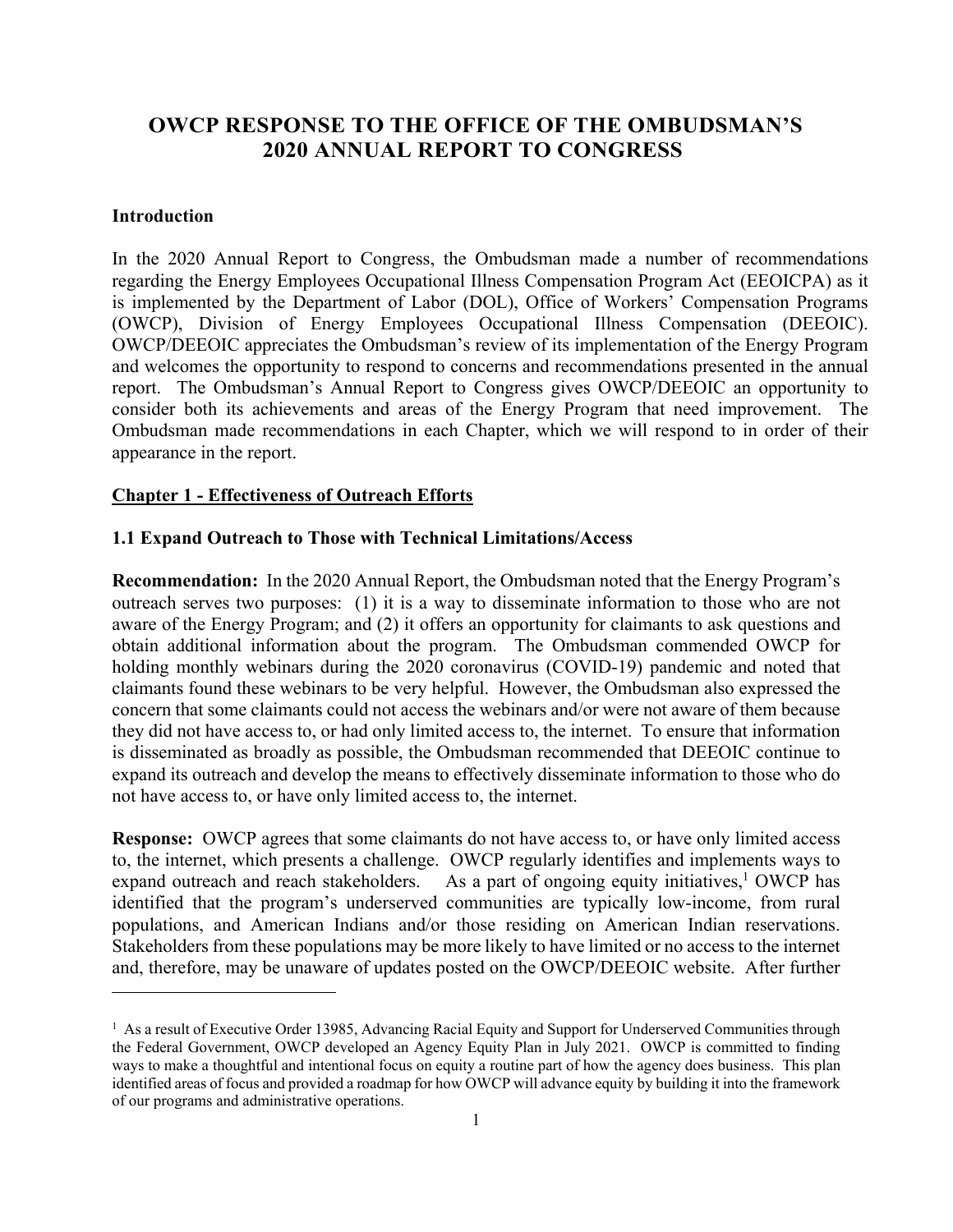# **OWCP RESPONSE TO THE OFFICE OF THE OMBUDSMAN'S 2020 ANNUAL REPORT TO CONGRESS**

# **Introduction**

l

In the 2020 Annual Report to Congress, the Ombudsman made a number of recommendations regarding the Energy Employees Occupational Illness Compensation Program Act (EEOICPA) as it is implemented by the Department of Labor (DOL), Office of Workers' Compensation Programs (OWCP), Division of Energy Employees Occupational Illness Compensation (DEEOIC). OWCP/DEEOIC appreciates the Ombudsman's review of its implementation of the Energy Program and welcomes the opportunity to respond to concerns and recommendations presented in the annual report. The Ombudsman's Annual Report to Congress gives OWCP/DEEOIC an opportunity to consider both its achievements and areas of the Energy Program that need improvement. The Ombudsman made recommendations in each Chapter, which we will respond to in order of their appearance in the report.

#### **Chapter 1 - Effectiveness of Outreach Efforts**

## **1.1 Expand Outreach to Those with Technical Limitations/Access**

**Recommendation:** In the 2020 Annual Report, the Ombudsman noted that the Energy Program's outreach serves two purposes: (1) it is a way to disseminate information to those who are not aware of the Energy Program; and (2) it offers an opportunity for claimants to ask questions and obtain additional information about the program. The Ombudsman commended OWCP for holding monthly webinars during the 2020 coronavirus (COVID-19) pandemic and noted that claimants found these webinars to be very helpful. However, the Ombudsman also expressed the concern that some claimants could not access the webinars and/or were not aware of them because they did not have access to, or had only limited access to, the internet. To ensure that information is disseminated as broadly as possible, the Ombudsman recommended that DEEOIC continue to expand its outreach and develop the means to effectively disseminate information to those who do not have access to, or have only limited access to, the internet.

**Response:** OWCP agrees that some claimants do not have access to, or have only limited access to, the internet, which presents a challenge. OWCP regularly identifies and implements ways to expand outreach and reach stakeholders. As a part of ongoing equity initiatives,<sup>1</sup> OWCP has identified that the program's underserved communities are typically low-income, from rural populations, and American Indians and/or those residing on American Indian reservations. Stakeholders from these populations may be more likely to have limited or no access to the internet and, therefore, may be unaware of updates posted on the OWCP/DEEOIC website. After further

<sup>&</sup>lt;sup>1</sup> As a result of Executive Order 13985, Advancing Racial Equity and Support for Underserved Communities through the Federal Government, OWCP developed an Agency Equity Plan in July 2021. OWCP is committed to finding ways to make a thoughtful and intentional focus on equity a routine part of how the agency does business. This plan identified areas of focus and provided a roadmap for how OWCP will advance equity by building it into the framework of our programs and administrative operations.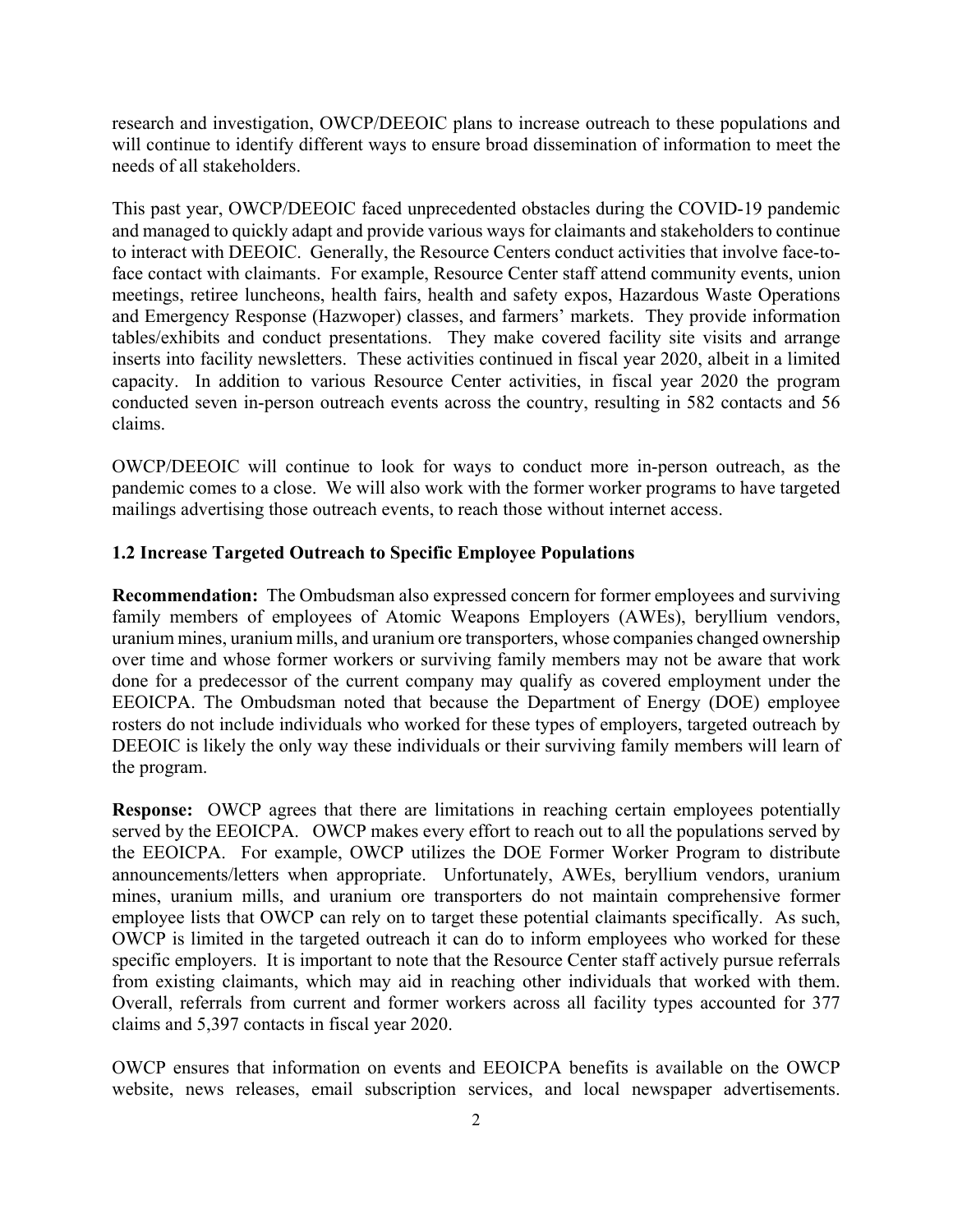research and investigation, OWCP/DEEOIC plans to increase outreach to these populations and will continue to identify different ways to ensure broad dissemination of information to meet the needs of all stakeholders.

This past year, OWCP/DEEOIC faced unprecedented obstacles during the COVID-19 pandemic and managed to quickly adapt and provide various ways for claimants and stakeholders to continue to interact with DEEOIC. Generally, the Resource Centers conduct activities that involve face-toface contact with claimants. For example, Resource Center staff attend community events, union meetings, retiree luncheons, health fairs, health and safety expos, Hazardous Waste Operations and Emergency Response (Hazwoper) classes, and farmers' markets. They provide information tables/exhibits and conduct presentations. They make covered facility site visits and arrange inserts into facility newsletters. These activities continued in fiscal year 2020, albeit in a limited capacity. In addition to various Resource Center activities, in fiscal year 2020 the program conducted seven in-person outreach events across the country, resulting in 582 contacts and 56 claims.

OWCP/DEEOIC will continue to look for ways to conduct more in-person outreach, as the pandemic comes to a close. We will also work with the former worker programs to have targeted mailings advertising those outreach events, to reach those without internet access.

#### **1.2 Increase Targeted Outreach to Specific Employee Populations**

**Recommendation:** The Ombudsman also expressed concern for former employees and surviving family members of employees of Atomic Weapons Employers (AWEs), beryllium vendors, uranium mines, uranium mills, and uranium ore transporters, whose companies changed ownership over time and whose former workers or surviving family members may not be aware that work done for a predecessor of the current company may qualify as covered employment under the EEOICPA. The Ombudsman noted that because the Department of Energy (DOE) employee rosters do not include individuals who worked for these types of employers, targeted outreach by DEEOIC is likely the only way these individuals or their surviving family members will learn of the program.

**Response:** OWCP agrees that there are limitations in reaching certain employees potentially served by the EEOICPA. OWCP makes every effort to reach out to all the populations served by the EEOICPA. For example, OWCP utilizes the DOE Former Worker Program to distribute announcements/letters when appropriate. Unfortunately, AWEs, beryllium vendors, uranium mines, uranium mills, and uranium ore transporters do not maintain comprehensive former employee lists that OWCP can rely on to target these potential claimants specifically. As such, OWCP is limited in the targeted outreach it can do to inform employees who worked for these specific employers. It is important to note that the Resource Center staff actively pursue referrals from existing claimants, which may aid in reaching other individuals that worked with them. Overall, referrals from current and former workers across all facility types accounted for 377 claims and 5,397 contacts in fiscal year 2020.

OWCP ensures that information on events and EEOICPA benefits is available on the OWCP website, news releases, email subscription services, and local newspaper advertisements.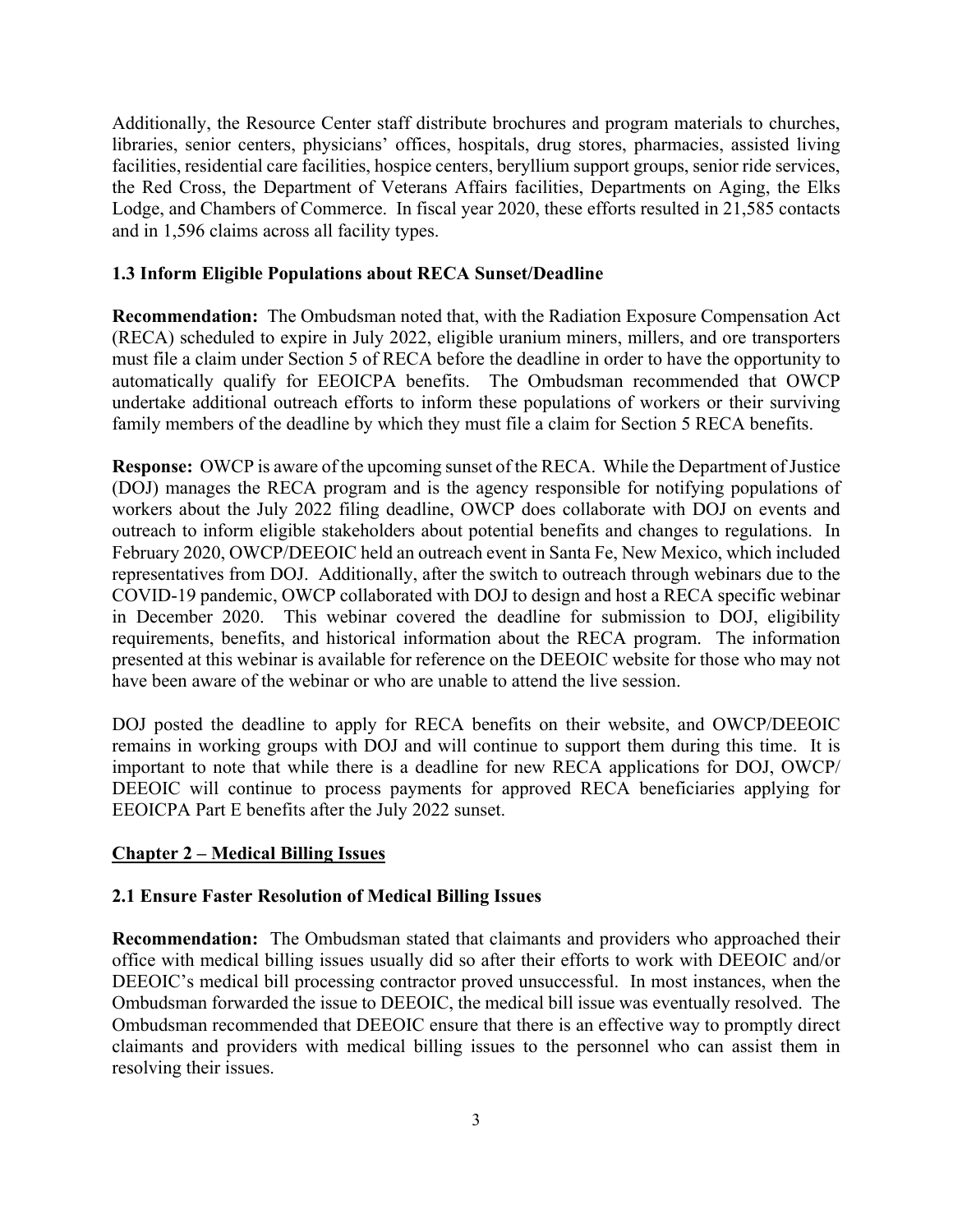Additionally, the Resource Center staff distribute brochures and program materials to churches, libraries, senior centers, physicians' offices, hospitals, drug stores, pharmacies, assisted living facilities, residential care facilities, hospice centers, beryllium support groups, senior ride services, the Red Cross, the Department of Veterans Affairs facilities, Departments on Aging, the Elks Lodge, and Chambers of Commerce. In fiscal year 2020, these efforts resulted in 21,585 contacts and in 1,596 claims across all facility types.

# **1.3 Inform Eligible Populations about RECA Sunset/Deadline**

**Recommendation:** The Ombudsman noted that, with the Radiation Exposure Compensation Act (RECA) scheduled to expire in July 2022, eligible uranium miners, millers, and ore transporters must file a claim under Section 5 of RECA before the deadline in order to have the opportunity to automatically qualify for EEOICPA benefits. The Ombudsman recommended that OWCP undertake additional outreach efforts to inform these populations of workers or their surviving family members of the deadline by which they must file a claim for Section 5 RECA benefits.

**Response:** OWCP is aware of the upcoming sunset of the RECA. While the Department of Justice (DOJ) manages the RECA program and is the agency responsible for notifying populations of workers about the July 2022 filing deadline, OWCP does collaborate with DOJ on events and outreach to inform eligible stakeholders about potential benefits and changes to regulations. In February 2020, OWCP/DEEOIC held an outreach event in Santa Fe, New Mexico, which included representatives from DOJ. Additionally, after the switch to outreach through webinars due to the COVID-19 pandemic, OWCP collaborated with DOJ to design and host a RECA specific webinar in December 2020. This webinar covered the deadline for submission to DOJ, eligibility requirements, benefits, and historical information about the RECA program. The information presented at this webinar is available for reference on the DEEOIC website for those who may not have been aware of the webinar or who are unable to attend the live session.

DOJ posted the deadline to apply for RECA benefits on their website, and OWCP/DEEOIC remains in working groups with DOJ and will continue to support them during this time. It is important to note that while there is a deadline for new RECA applications for DOJ, OWCP/ DEEOIC will continue to process payments for approved RECA beneficiaries applying for EEOICPA Part E benefits after the July 2022 sunset.

# **Chapter 2 – Medical Billing Issues**

#### **2.1 Ensure Faster Resolution of Medical Billing Issues**

**Recommendation:** The Ombudsman stated that claimants and providers who approached their office with medical billing issues usually did so after their efforts to work with DEEOIC and/or DEEOIC's medical bill processing contractor proved unsuccessful. In most instances, when the Ombudsman forwarded the issue to DEEOIC, the medical bill issue was eventually resolved. The Ombudsman recommended that DEEOIC ensure that there is an effective way to promptly direct claimants and providers with medical billing issues to the personnel who can assist them in resolving their issues.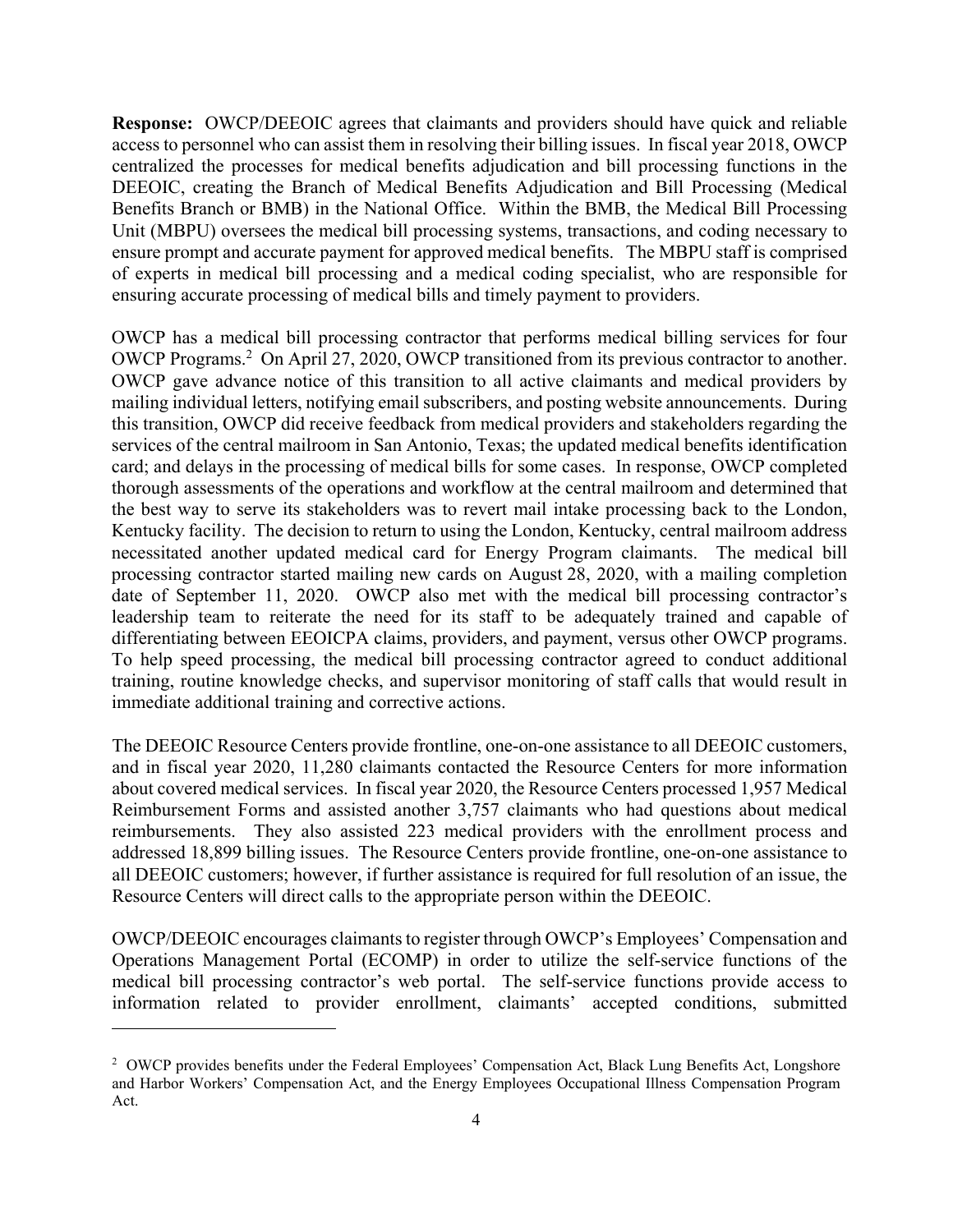**Response:** OWCP/DEEOIC agrees that claimants and providers should have quick and reliable access to personnel who can assist them in resolving their billing issues. In fiscal year 2018, OWCP centralized the processes for medical benefits adjudication and bill processing functions in the DEEOIC, creating the Branch of Medical Benefits Adjudication and Bill Processing (Medical Benefits Branch or BMB) in the National Office. Within the BMB, the Medical Bill Processing Unit (MBPU) oversees the medical bill processing systems, transactions, and coding necessary to ensure prompt and accurate payment for approved medical benefits. The MBPU staff is comprised of experts in medical bill processing and a medical coding specialist, who are responsible for ensuring accurate processing of medical bills and timely payment to providers.

OWCP has a medical bill processing contractor that performs medical billing services for four OWCP Programs.<sup>2</sup> On April 27, 2020, OWCP transitioned from its previous contractor to another. OWCP gave advance notice of this transition to all active claimants and medical providers by mailing individual letters, notifying email subscribers, and posting website announcements. During this transition, OWCP did receive feedback from medical providers and stakeholders regarding the services of the central mailroom in San Antonio, Texas; the updated medical benefits identification card; and delays in the processing of medical bills for some cases. In response, OWCP completed thorough assessments of the operations and workflow at the central mailroom and determined that the best way to serve its stakeholders was to revert mail intake processing back to the London, Kentucky facility. The decision to return to using the London, Kentucky, central mailroom address necessitated another updated medical card for Energy Program claimants. The medical bill processing contractor started mailing new cards on August 28, 2020, with a mailing completion date of September 11, 2020. OWCP also met with the medical bill processing contractor's leadership team to reiterate the need for its staff to be adequately trained and capable of differentiating between EEOICPA claims, providers, and payment, versus other OWCP programs. To help speed processing, the medical bill processing contractor agreed to conduct additional training, routine knowledge checks, and supervisor monitoring of staff calls that would result in immediate additional training and corrective actions.

The DEEOIC Resource Centers provide frontline, one-on-one assistance to all DEEOIC customers, and in fiscal year 2020, 11,280 claimants contacted the Resource Centers for more information about covered medical services. In fiscal year 2020, the Resource Centers processed 1,957 Medical Reimbursement Forms and assisted another 3,757 claimants who had questions about medical reimbursements. They also assisted 223 medical providers with the enrollment process and addressed 18,899 billing issues. The Resource Centers provide frontline, one-on-one assistance to all DEEOIC customers; however, if further assistance is required for full resolution of an issue, the Resource Centers will direct calls to the appropriate person within the DEEOIC.

OWCP/DEEOIC encourages claimants to register through OWCP's Employees' Compensation and Operations Management Portal (ECOMP) in order to utilize the self-service functions of the medical bill processing contractor's web portal. The self-service functions provide access to information related to provider enrollment, claimants' accepted conditions, submitted

l

<sup>&</sup>lt;sup>2</sup> OWCP provides benefits under the Federal Employees' Compensation Act, Black Lung Benefits Act, Longshore and Harbor Workers' Compensation Act, and the Energy Employees Occupational Illness Compensation Program Act.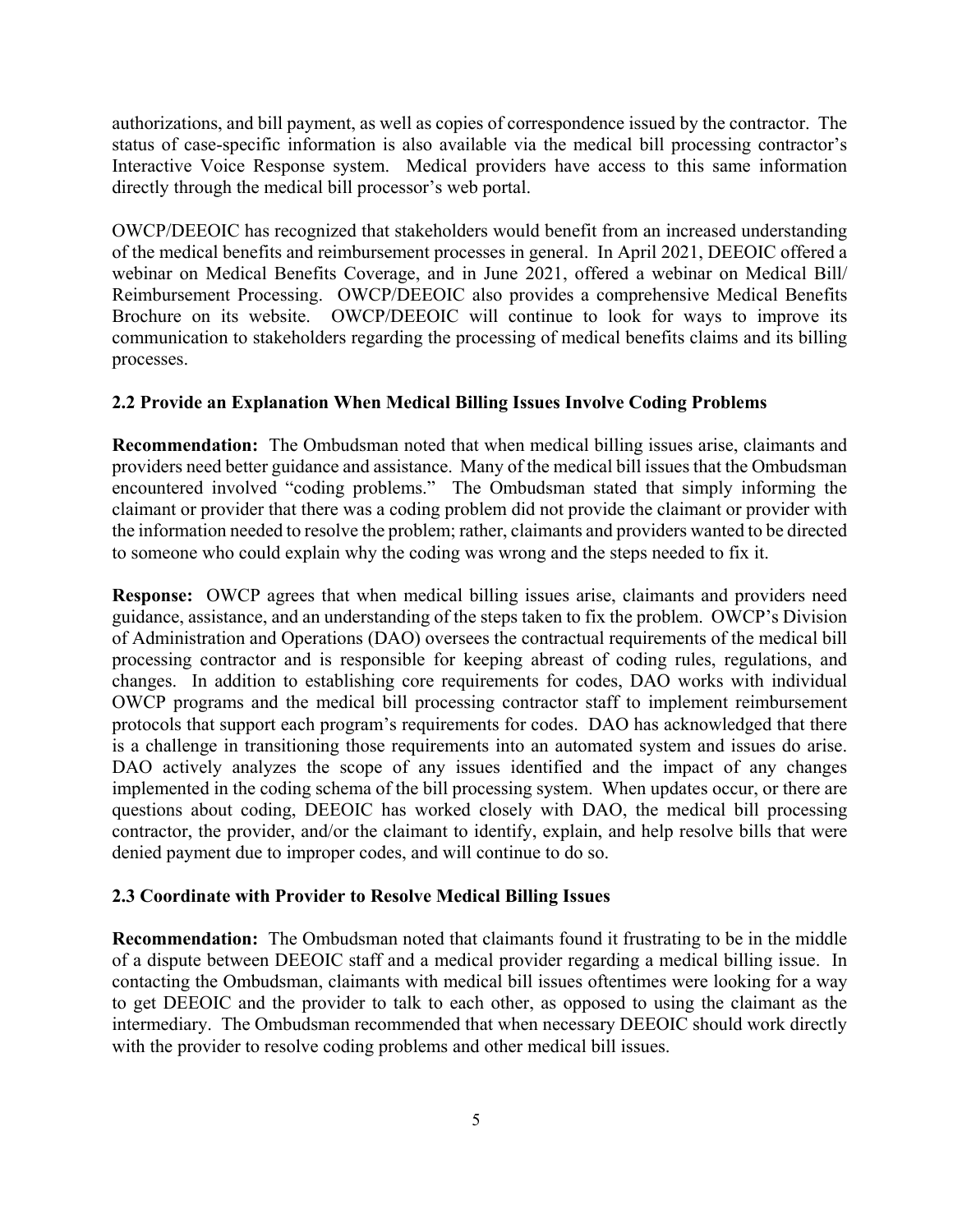authorizations, and bill payment, as well as copies of correspondence issued by the contractor. The status of case-specific information is also available via the medical bill processing contractor's Interactive Voice Response system. Medical providers have access to this same information directly through the medical bill processor's web portal.

OWCP/DEEOIC has recognized that stakeholders would benefit from an increased understanding of the medical benefits and reimbursement processes in general. In April 2021, DEEOIC offered a webinar on Medical Benefits Coverage, and in June 2021, offered a webinar on Medical Bill/ Reimbursement Processing. OWCP/DEEOIC also provides a comprehensive Medical Benefits Brochure on its website. OWCP/DEEOIC will continue to look for ways to improve its communication to stakeholders regarding the processing of medical benefits claims and its billing processes.

## **2.2 Provide an Explanation When Medical Billing Issues Involve Coding Problems**

**Recommendation:** The Ombudsman noted that when medical billing issues arise, claimants and providers need better guidance and assistance. Many of the medical bill issues that the Ombudsman encountered involved "coding problems." The Ombudsman stated that simply informing the claimant or provider that there was a coding problem did not provide the claimant or provider with the information needed to resolve the problem; rather, claimants and providers wanted to be directed to someone who could explain why the coding was wrong and the steps needed to fix it.

**Response:** OWCP agrees that when medical billing issues arise, claimants and providers need guidance, assistance, and an understanding of the steps taken to fix the problem. OWCP's Division of Administration and Operations (DAO) oversees the contractual requirements of the medical bill processing contractor and is responsible for keeping abreast of coding rules, regulations, and changes. In addition to establishing core requirements for codes, DAO works with individual OWCP programs and the medical bill processing contractor staff to implement reimbursement protocols that support each program's requirements for codes. DAO has acknowledged that there is a challenge in transitioning those requirements into an automated system and issues do arise. DAO actively analyzes the scope of any issues identified and the impact of any changes implemented in the coding schema of the bill processing system. When updates occur, or there are questions about coding, DEEOIC has worked closely with DAO, the medical bill processing contractor, the provider, and/or the claimant to identify, explain, and help resolve bills that were denied payment due to improper codes, and will continue to do so.

#### **2.3 Coordinate with Provider to Resolve Medical Billing Issues**

**Recommendation:** The Ombudsman noted that claimants found it frustrating to be in the middle of a dispute between DEEOIC staff and a medical provider regarding a medical billing issue. In contacting the Ombudsman, claimants with medical bill issues oftentimes were looking for a way to get DEEOIC and the provider to talk to each other, as opposed to using the claimant as the intermediary. The Ombudsman recommended that when necessary DEEOIC should work directly with the provider to resolve coding problems and other medical bill issues.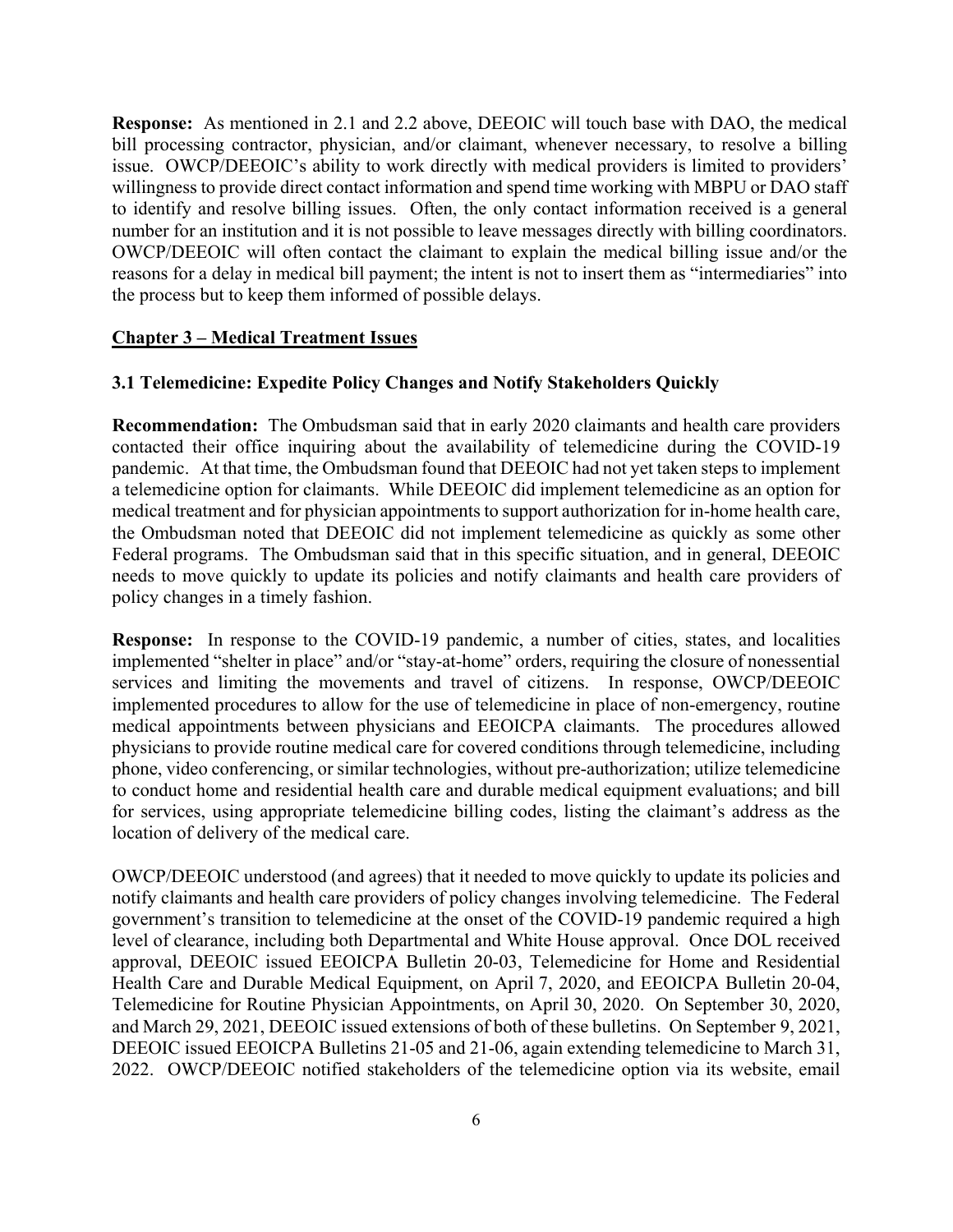**Response:** As mentioned in 2.1 and 2.2 above, DEEOIC will touch base with DAO, the medical bill processing contractor, physician, and/or claimant, whenever necessary, to resolve a billing issue. OWCP/DEEOIC's ability to work directly with medical providers is limited to providers' willingness to provide direct contact information and spend time working with MBPU or DAO staff to identify and resolve billing issues. Often, the only contact information received is a general number for an institution and it is not possible to leave messages directly with billing coordinators. OWCP/DEEOIC will often contact the claimant to explain the medical billing issue and/or the reasons for a delay in medical bill payment; the intent is not to insert them as "intermediaries" into the process but to keep them informed of possible delays.

# **Chapter 3 – Medical Treatment Issues**

## **3.1 Telemedicine: Expedite Policy Changes and Notify Stakeholders Quickly**

**Recommendation:** The Ombudsman said that in early 2020 claimants and health care providers contacted their office inquiring about the availability of telemedicine during the COVID-19 pandemic. At that time, the Ombudsman found that DEEOIC had not yet taken steps to implement a telemedicine option for claimants. While DEEOIC did implement telemedicine as an option for medical treatment and for physician appointments to support authorization for in-home health care, the Ombudsman noted that DEEOIC did not implement telemedicine as quickly as some other Federal programs. The Ombudsman said that in this specific situation, and in general, DEEOIC needs to move quickly to update its policies and notify claimants and health care providers of policy changes in a timely fashion.

**Response:** In response to the COVID-19 pandemic, a number of cities, states, and localities implemented "shelter in place" and/or "stay-at-home" orders, requiring the closure of nonessential services and limiting the movements and travel of citizens. In response, OWCP/DEEOIC implemented procedures to allow for the use of telemedicine in place of non-emergency, routine medical appointments between physicians and EEOICPA claimants. The procedures allowed physicians to provide routine medical care for covered conditions through telemedicine, including phone, video conferencing, or similar technologies, without pre-authorization; utilize telemedicine to conduct home and residential health care and durable medical equipment evaluations; and bill for services, using appropriate telemedicine billing codes, listing the claimant's address as the location of delivery of the medical care.

OWCP/DEEOIC understood (and agrees) that it needed to move quickly to update its policies and notify claimants and health care providers of policy changes involving telemedicine. The Federal government's transition to telemedicine at the onset of the COVID-19 pandemic required a high level of clearance, including both Departmental and White House approval. Once DOL received approval, DEEOIC issued EEOICPA Bulletin 20-03, Telemedicine for Home and Residential Health Care and Durable Medical Equipment, on April 7, 2020, and EEOICPA Bulletin 20-04, Telemedicine for Routine Physician Appointments, on April 30, 2020. On September 30, 2020, and March 29, 2021, DEEOIC issued extensions of both of these bulletins. On September 9, 2021, DEEOIC issued EEOICPA Bulletins 21-05 and 21-06, again extending telemedicine to March 31, 2022. OWCP/DEEOIC notified stakeholders of the telemedicine option via its website, email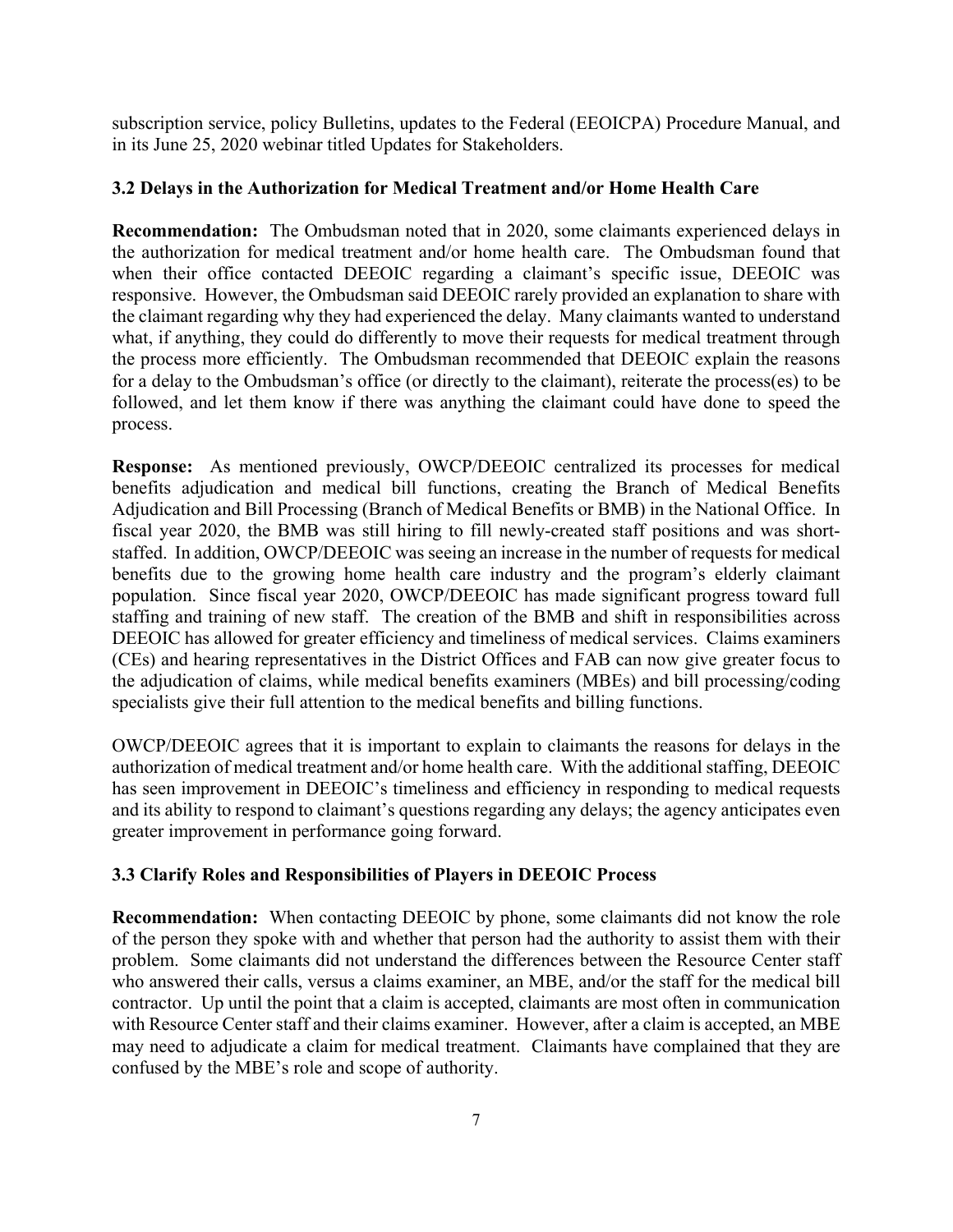subscription service, policy Bulletins, updates to the Federal (EEOICPA) Procedure Manual, and in its June 25, 2020 webinar titled Updates for Stakeholders.

# **3.2 Delays in the Authorization for Medical Treatment and/or Home Health Care**

**Recommendation:** The Ombudsman noted that in 2020, some claimants experienced delays in the authorization for medical treatment and/or home health care. The Ombudsman found that when their office contacted DEEOIC regarding a claimant's specific issue, DEEOIC was responsive. However, the Ombudsman said DEEOIC rarely provided an explanation to share with the claimant regarding why they had experienced the delay. Many claimants wanted to understand what, if anything, they could do differently to move their requests for medical treatment through the process more efficiently. The Ombudsman recommended that DEEOIC explain the reasons for a delay to the Ombudsman's office (or directly to the claimant), reiterate the process(es) to be followed, and let them know if there was anything the claimant could have done to speed the process.

**Response:** As mentioned previously, OWCP/DEEOIC centralized its processes for medical benefits adjudication and medical bill functions, creating the Branch of Medical Benefits Adjudication and Bill Processing (Branch of Medical Benefits or BMB) in the National Office. In fiscal year 2020, the BMB was still hiring to fill newly-created staff positions and was shortstaffed. In addition, OWCP/DEEOIC was seeing an increase in the number of requests for medical benefits due to the growing home health care industry and the program's elderly claimant population. Since fiscal year 2020, OWCP/DEEOIC has made significant progress toward full staffing and training of new staff. The creation of the BMB and shift in responsibilities across DEEOIC has allowed for greater efficiency and timeliness of medical services. Claims examiners (CEs) and hearing representatives in the District Offices and FAB can now give greater focus to the adjudication of claims, while medical benefits examiners (MBEs) and bill processing/coding specialists give their full attention to the medical benefits and billing functions.

OWCP/DEEOIC agrees that it is important to explain to claimants the reasons for delays in the authorization of medical treatment and/or home health care. With the additional staffing, DEEOIC has seen improvement in DEEOIC's timeliness and efficiency in responding to medical requests and its ability to respond to claimant's questions regarding any delays; the agency anticipates even greater improvement in performance going forward.

# **3.3 Clarify Roles and Responsibilities of Players in DEEOIC Process**

**Recommendation:** When contacting DEEOIC by phone, some claimants did not know the role of the person they spoke with and whether that person had the authority to assist them with their problem. Some claimants did not understand the differences between the Resource Center staff who answered their calls, versus a claims examiner, an MBE, and/or the staff for the medical bill contractor. Up until the point that a claim is accepted, claimants are most often in communication with Resource Center staff and their claims examiner. However, after a claim is accepted, an MBE may need to adjudicate a claim for medical treatment. Claimants have complained that they are confused by the MBE's role and scope of authority.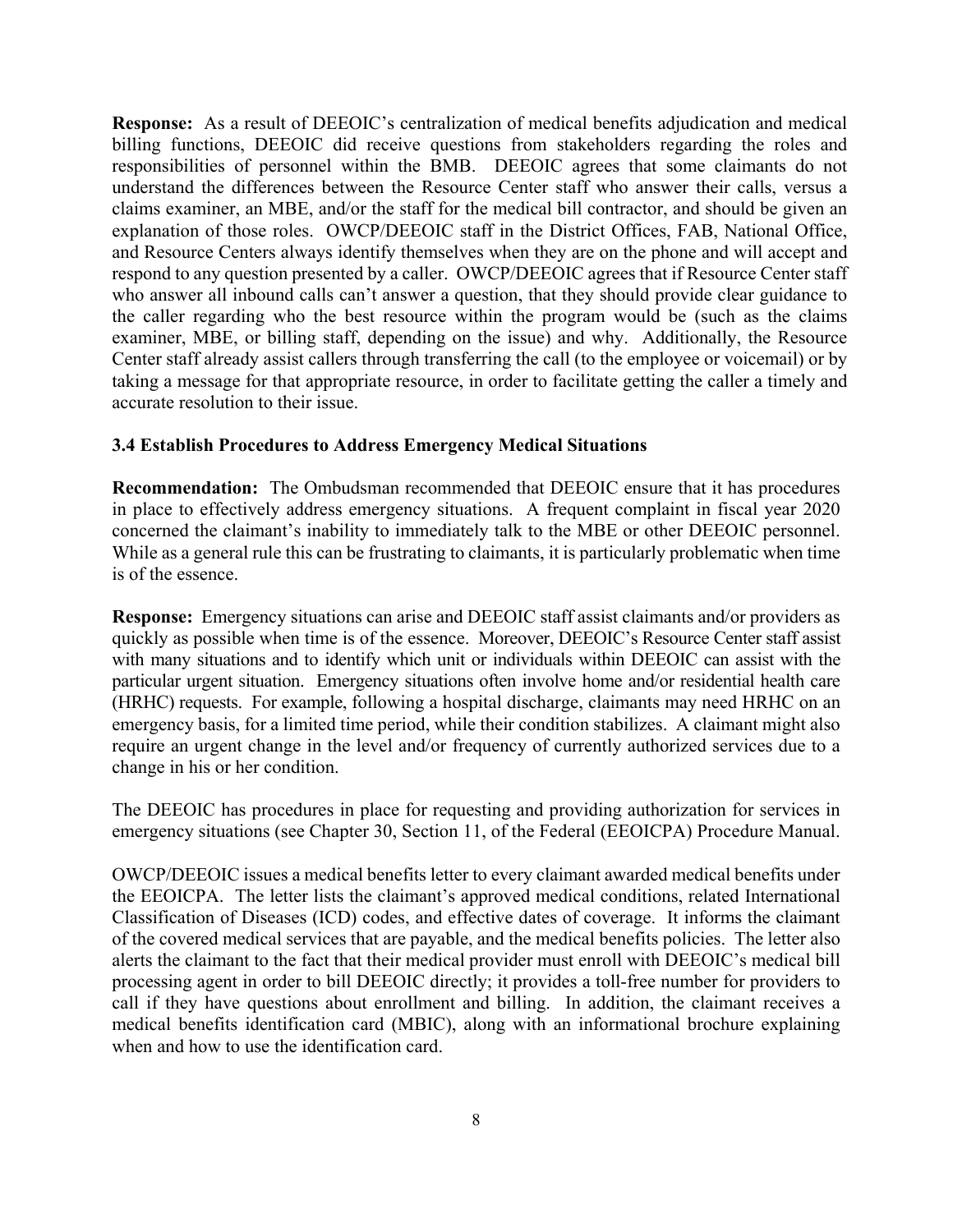**Response:** As a result of DEEOIC's centralization of medical benefits adjudication and medical billing functions, DEEOIC did receive questions from stakeholders regarding the roles and responsibilities of personnel within the BMB. DEEOIC agrees that some claimants do not understand the differences between the Resource Center staff who answer their calls, versus a claims examiner, an MBE, and/or the staff for the medical bill contractor, and should be given an explanation of those roles. OWCP/DEEOIC staff in the District Offices, FAB, National Office, and Resource Centers always identify themselves when they are on the phone and will accept and respond to any question presented by a caller. OWCP/DEEOIC agrees that if Resource Center staff who answer all inbound calls can't answer a question, that they should provide clear guidance to the caller regarding who the best resource within the program would be (such as the claims examiner, MBE, or billing staff, depending on the issue) and why. Additionally, the Resource Center staff already assist callers through transferring the call (to the employee or voicemail) or by taking a message for that appropriate resource, in order to facilitate getting the caller a timely and accurate resolution to their issue.

## **3.4 Establish Procedures to Address Emergency Medical Situations**

**Recommendation:** The Ombudsman recommended that DEEOIC ensure that it has procedures in place to effectively address emergency situations. A frequent complaint in fiscal year 2020 concerned the claimant's inability to immediately talk to the MBE or other DEEOIC personnel. While as a general rule this can be frustrating to claimants, it is particularly problematic when time is of the essence.

**Response:** Emergency situations can arise and DEEOIC staff assist claimants and/or providers as quickly as possible when time is of the essence. Moreover, DEEOIC's Resource Center staff assist with many situations and to identify which unit or individuals within DEEOIC can assist with the particular urgent situation. Emergency situations often involve home and/or residential health care (HRHC) requests. For example, following a hospital discharge, claimants may need HRHC on an emergency basis, for a limited time period, while their condition stabilizes. A claimant might also require an urgent change in the level and/or frequency of currently authorized services due to a change in his or her condition.

The DEEOIC has procedures in place for requesting and providing authorization for services in emergency situations (see Chapter 30, Section 11, of the Federal (EEOICPA) Procedure Manual.

OWCP/DEEOIC issues a medical benefits letter to every claimant awarded medical benefits under the EEOICPA. The letter lists the claimant's approved medical conditions, related International Classification of Diseases (ICD) codes, and effective dates of coverage. It informs the claimant of the covered medical services that are payable, and the medical benefits policies. The letter also alerts the claimant to the fact that their medical provider must enroll with DEEOIC's medical bill processing agent in order to bill DEEOIC directly; it provides a toll-free number for providers to call if they have questions about enrollment and billing. In addition, the claimant receives a medical benefits identification card (MBIC), along with an informational brochure explaining when and how to use the identification card.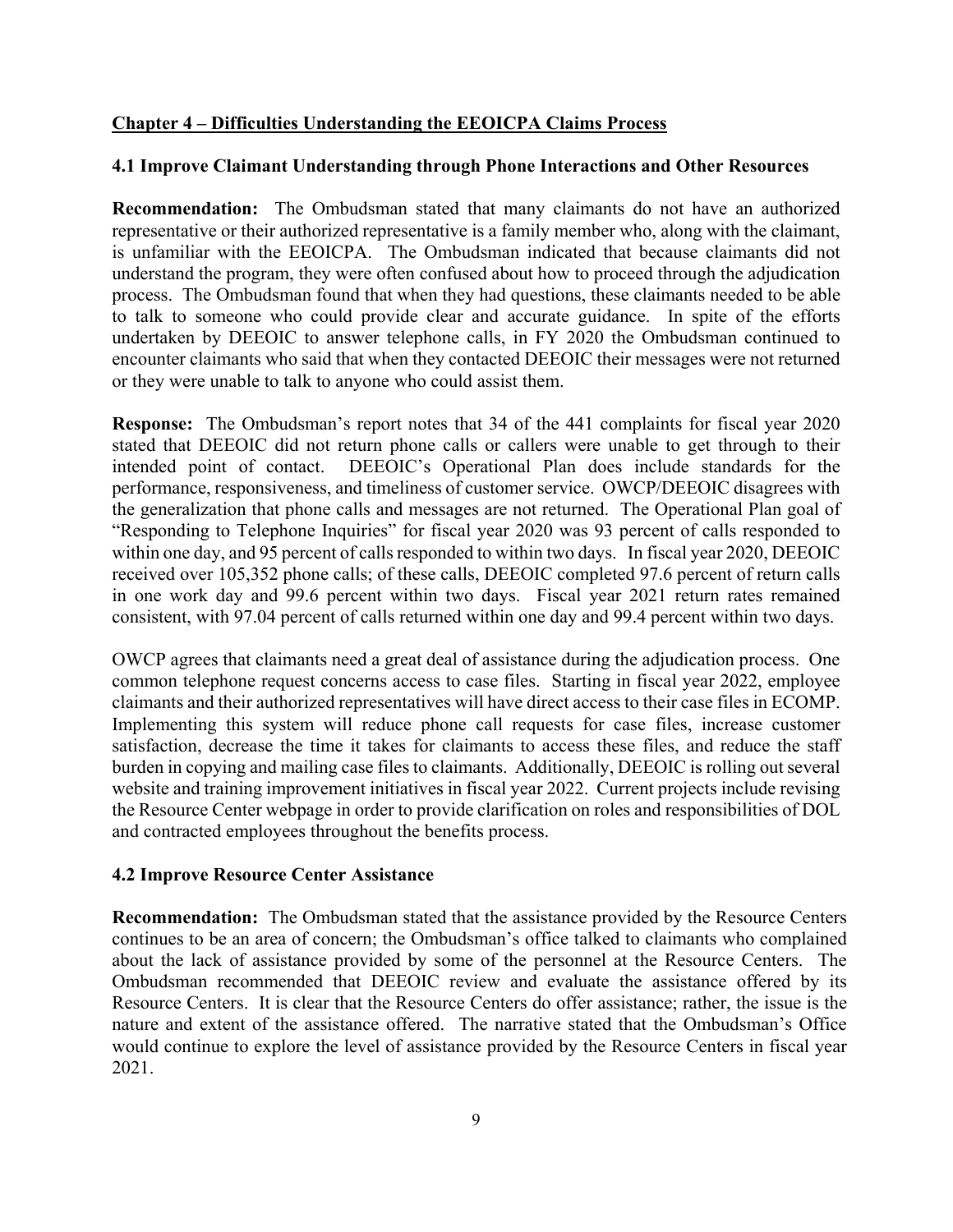# **Chapter 4 – Difficulties Understanding the EEOICPA Claims Process**

# **4.1 Improve Claimant Understanding through Phone Interactions and Other Resources**

**Recommendation:** The Ombudsman stated that many claimants do not have an authorized representative or their authorized representative is a family member who, along with the claimant, is unfamiliar with the EEOICPA. The Ombudsman indicated that because claimants did not understand the program, they were often confused about how to proceed through the adjudication process. The Ombudsman found that when they had questions, these claimants needed to be able to talk to someone who could provide clear and accurate guidance. In spite of the efforts undertaken by DEEOIC to answer telephone calls, in FY 2020 the Ombudsman continued to encounter claimants who said that when they contacted DEEOIC their messages were not returned or they were unable to talk to anyone who could assist them.

**Response:** The Ombudsman's report notes that 34 of the 441 complaints for fiscal year 2020 stated that DEEOIC did not return phone calls or callers were unable to get through to their intended point of contact. DEEOIC's Operational Plan does include standards for the performance, responsiveness, and timeliness of customer service. OWCP/DEEOIC disagrees with the generalization that phone calls and messages are not returned. The Operational Plan goal of "Responding to Telephone Inquiries" for fiscal year 2020 was 93 percent of calls responded to within one day, and 95 percent of calls responded to within two days. In fiscal year 2020, DEEOIC received over 105,352 phone calls; of these calls, DEEOIC completed 97.6 percent of return calls in one work day and 99.6 percent within two days. Fiscal year 2021 return rates remained consistent, with 97.04 percent of calls returned within one day and 99.4 percent within two days.

OWCP agrees that claimants need a great deal of assistance during the adjudication process. One common telephone request concerns access to case files. Starting in fiscal year 2022, employee claimants and their authorized representatives will have direct access to their case files in ECOMP. Implementing this system will reduce phone call requests for case files, increase customer satisfaction, decrease the time it takes for claimants to access these files, and reduce the staff burden in copying and mailing case files to claimants. Additionally, DEEOIC is rolling out several website and training improvement initiatives in fiscal year 2022. Current projects include revising the Resource Center webpage in order to provide clarification on roles and responsibilities of DOL and contracted employees throughout the benefits process.

# **4.2 Improve Resource Center Assistance**

**Recommendation:** The Ombudsman stated that the assistance provided by the Resource Centers continues to be an area of concern; the Ombudsman's office talked to claimants who complained about the lack of assistance provided by some of the personnel at the Resource Centers. The Ombudsman recommended that DEEOIC review and evaluate the assistance offered by its Resource Centers. It is clear that the Resource Centers do offer assistance; rather, the issue is the nature and extent of the assistance offered. The narrative stated that the Ombudsman's Office would continue to explore the level of assistance provided by the Resource Centers in fiscal year 2021.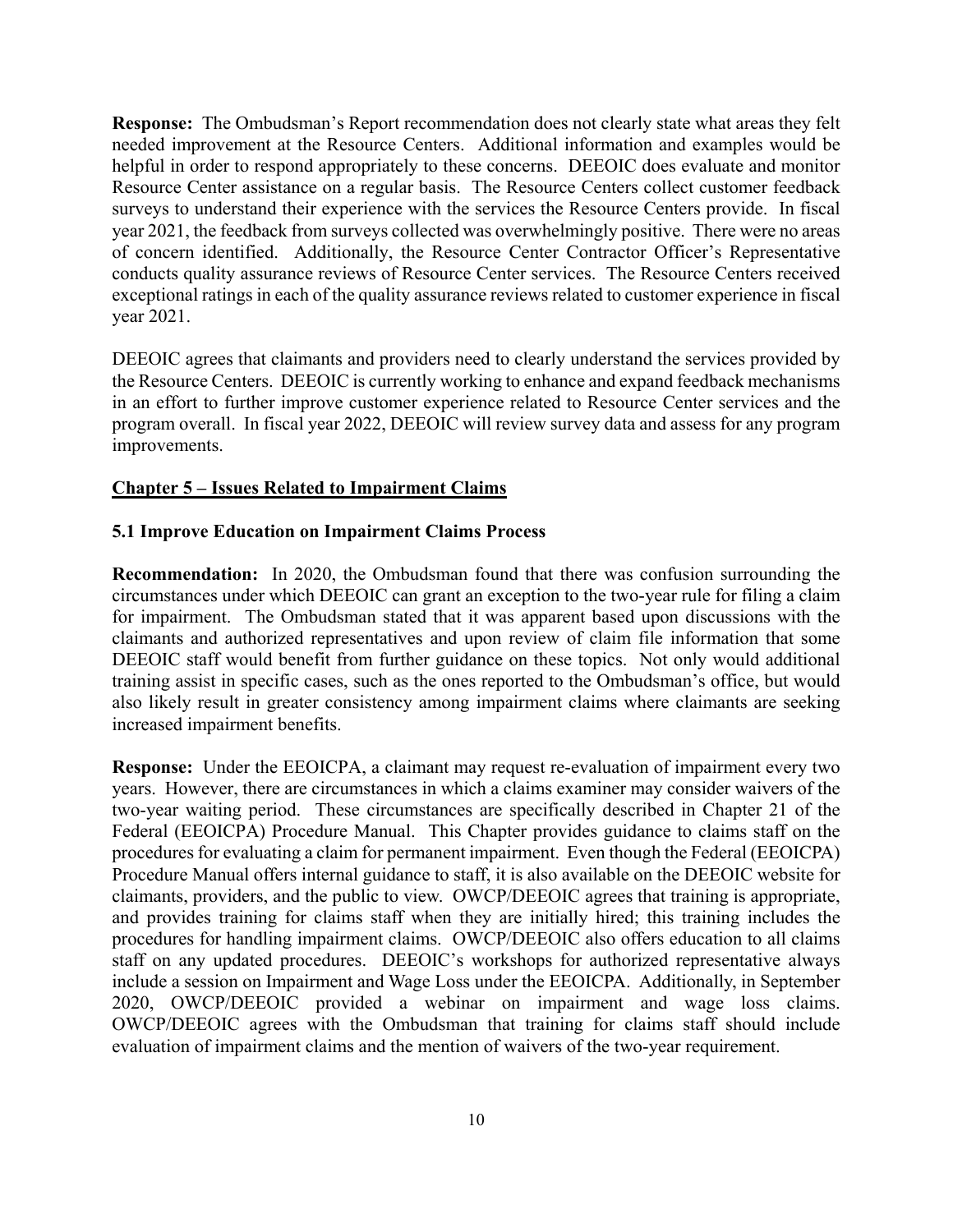**Response:** The Ombudsman's Report recommendation does not clearly state what areas they felt needed improvement at the Resource Centers. Additional information and examples would be helpful in order to respond appropriately to these concerns. DEEOIC does evaluate and monitor Resource Center assistance on a regular basis. The Resource Centers collect customer feedback surveys to understand their experience with the services the Resource Centers provide. In fiscal year 2021, the feedback from surveys collected was overwhelmingly positive. There were no areas of concern identified. Additionally, the Resource Center Contractor Officer's Representative conducts quality assurance reviews of Resource Center services. The Resource Centers received exceptional ratings in each of the quality assurance reviews related to customer experience in fiscal year 2021.

DEEOIC agrees that claimants and providers need to clearly understand the services provided by the Resource Centers. DEEOIC is currently working to enhance and expand feedback mechanisms in an effort to further improve customer experience related to Resource Center services and the program overall. In fiscal year 2022, DEEOIC will review survey data and assess for any program improvements.

## **Chapter 5 – Issues Related to Impairment Claims**

## **5.1 Improve Education on Impairment Claims Process**

**Recommendation:** In 2020, the Ombudsman found that there was confusion surrounding the circumstances under which DEEOIC can grant an exception to the two-year rule for filing a claim for impairment. The Ombudsman stated that it was apparent based upon discussions with the claimants and authorized representatives and upon review of claim file information that some DEEOIC staff would benefit from further guidance on these topics. Not only would additional training assist in specific cases, such as the ones reported to the Ombudsman's office, but would also likely result in greater consistency among impairment claims where claimants are seeking increased impairment benefits.

**Response:** Under the EEOICPA, a claimant may request re-evaluation of impairment every two years. However, there are circumstances in which a claims examiner may consider waivers of the two-year waiting period. These circumstances are specifically described in Chapter 21 of the Federal (EEOICPA) Procedure Manual. This Chapter provides guidance to claims staff on the procedures for evaluating a claim for permanent impairment. Even though the Federal (EEOICPA) Procedure Manual offers internal guidance to staff, it is also available on the DEEOIC website for claimants, providers, and the public to view. OWCP/DEEOIC agrees that training is appropriate, and provides training for claims staff when they are initially hired; this training includes the procedures for handling impairment claims. OWCP/DEEOIC also offers education to all claims staff on any updated procedures. DEEOIC's workshops for authorized representative always include a session on Impairment and Wage Loss under the EEOICPA. Additionally, in September 2020, OWCP/DEEOIC provided a webinar on impairment and wage loss claims. OWCP/DEEOIC agrees with the Ombudsman that training for claims staff should include evaluation of impairment claims and the mention of waivers of the two-year requirement.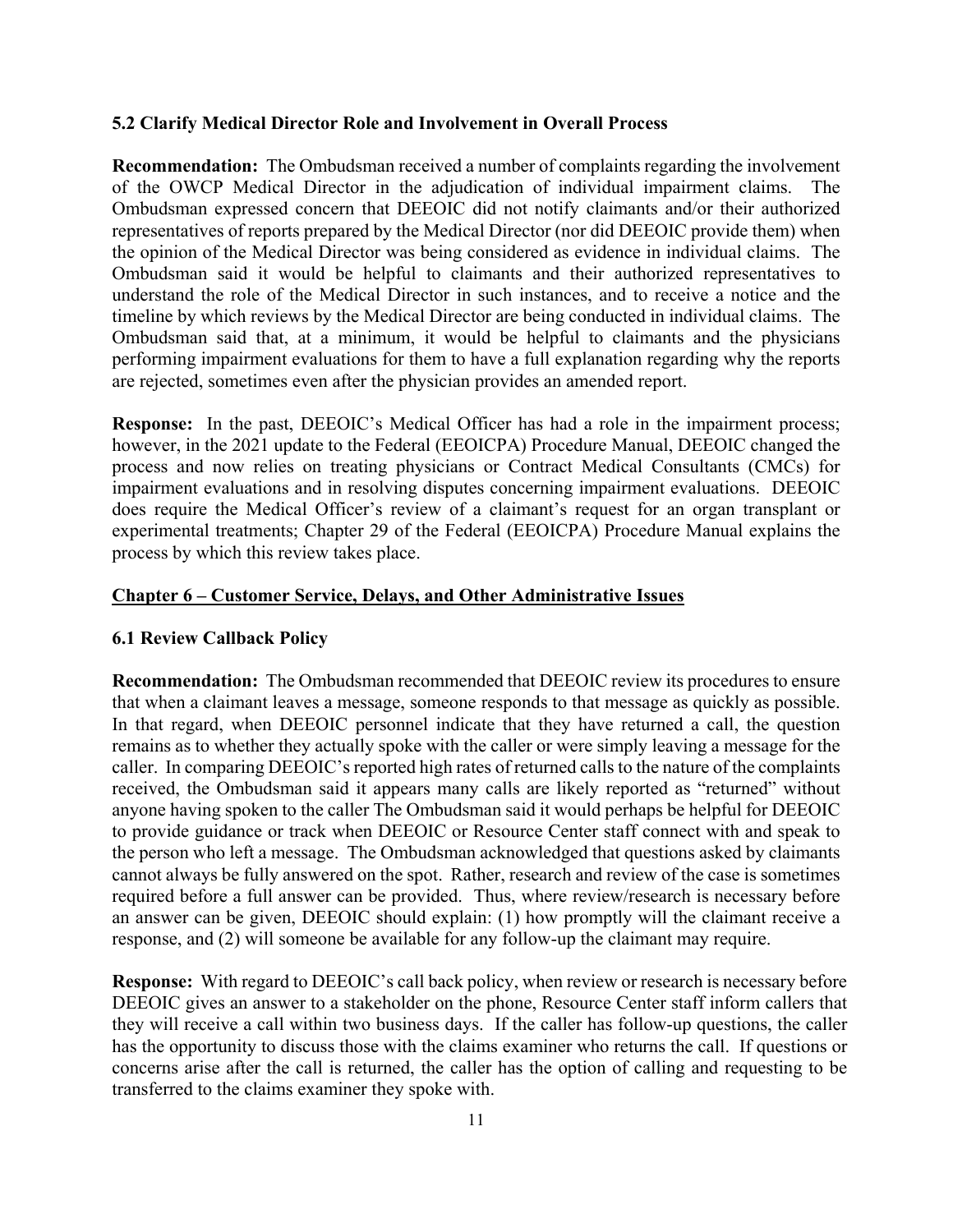## **5.2 Clarify Medical Director Role and Involvement in Overall Process**

**Recommendation:** The Ombudsman received a number of complaints regarding the involvement of the OWCP Medical Director in the adjudication of individual impairment claims. The Ombudsman expressed concern that DEEOIC did not notify claimants and/or their authorized representatives of reports prepared by the Medical Director (nor did DEEOIC provide them) when the opinion of the Medical Director was being considered as evidence in individual claims. The Ombudsman said it would be helpful to claimants and their authorized representatives to understand the role of the Medical Director in such instances, and to receive a notice and the timeline by which reviews by the Medical Director are being conducted in individual claims. The Ombudsman said that, at a minimum, it would be helpful to claimants and the physicians performing impairment evaluations for them to have a full explanation regarding why the reports are rejected, sometimes even after the physician provides an amended report.

**Response:** In the past, DEEOIC's Medical Officer has had a role in the impairment process; however, in the 2021 update to the Federal (EEOICPA) Procedure Manual, DEEOIC changed the process and now relies on treating physicians or Contract Medical Consultants (CMCs) for impairment evaluations and in resolving disputes concerning impairment evaluations. DEEOIC does require the Medical Officer's review of a claimant's request for an organ transplant or experimental treatments; Chapter 29 of the Federal (EEOICPA) Procedure Manual explains the process by which this review takes place.

## **Chapter 6 – Customer Service, Delays, and Other Administrative Issues**

#### **6.1 Review Callback Policy**

**Recommendation:** The Ombudsman recommended that DEEOIC review its procedures to ensure that when a claimant leaves a message, someone responds to that message as quickly as possible. In that regard, when DEEOIC personnel indicate that they have returned a call, the question remains as to whether they actually spoke with the caller or were simply leaving a message for the caller. In comparing DEEOIC's reported high rates of returned calls to the nature of the complaints received, the Ombudsman said it appears many calls are likely reported as "returned" without anyone having spoken to the caller The Ombudsman said it would perhaps be helpful for DEEOIC to provide guidance or track when DEEOIC or Resource Center staff connect with and speak to the person who left a message. The Ombudsman acknowledged that questions asked by claimants cannot always be fully answered on the spot. Rather, research and review of the case is sometimes required before a full answer can be provided. Thus, where review/research is necessary before an answer can be given, DEEOIC should explain: (1) how promptly will the claimant receive a response, and (2) will someone be available for any follow-up the claimant may require.

**Response:** With regard to DEEOIC's call back policy, when review or research is necessary before DEEOIC gives an answer to a stakeholder on the phone, Resource Center staff inform callers that they will receive a call within two business days. If the caller has follow-up questions, the caller has the opportunity to discuss those with the claims examiner who returns the call. If questions or concerns arise after the call is returned, the caller has the option of calling and requesting to be transferred to the claims examiner they spoke with.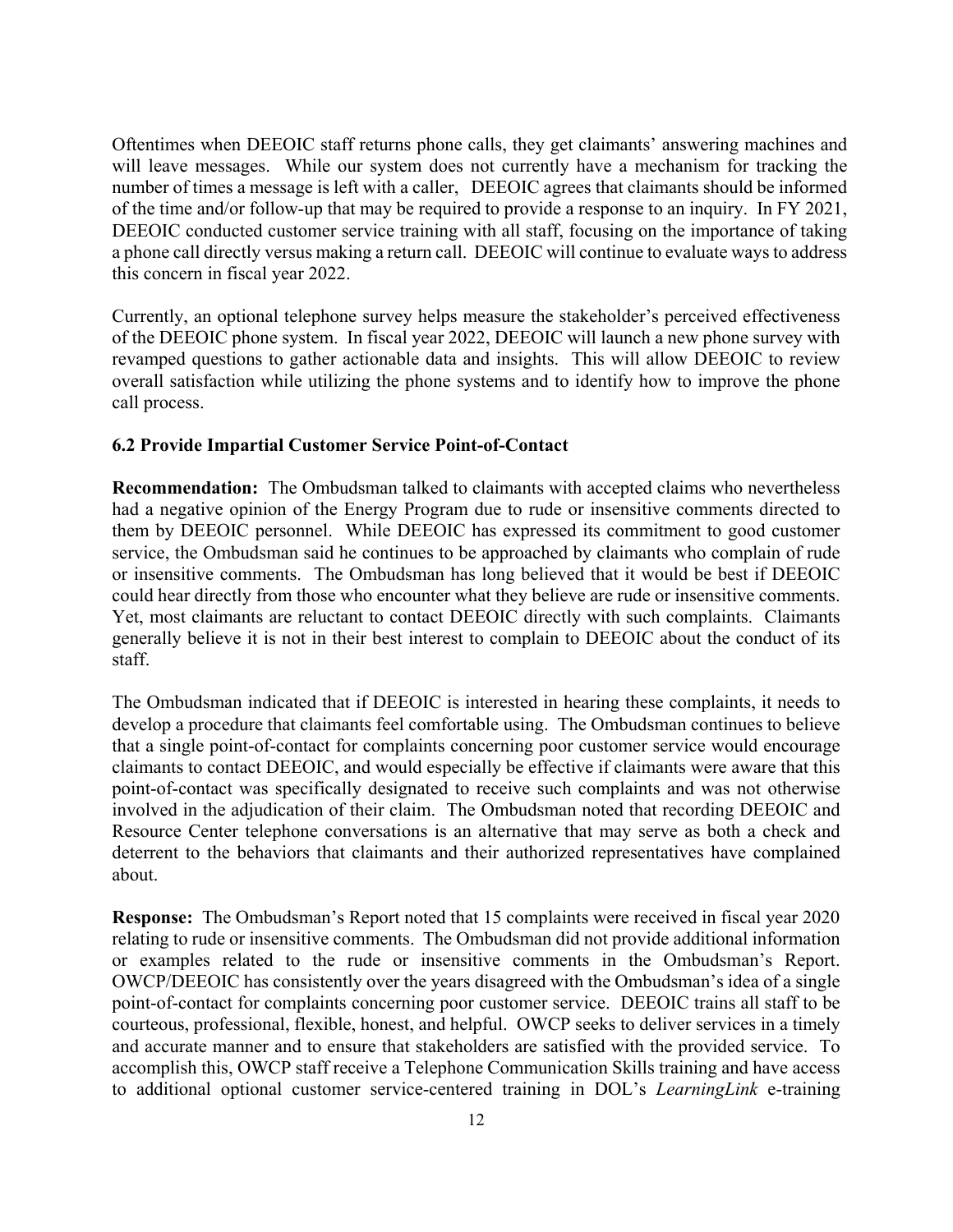Oftentimes when DEEOIC staff returns phone calls, they get claimants' answering machines and will leave messages. While our system does not currently have a mechanism for tracking the number of times a message is left with a caller, DEEOIC agrees that claimants should be informed of the time and/or follow-up that may be required to provide a response to an inquiry. In FY 2021, DEEOIC conducted customer service training with all staff, focusing on the importance of taking a phone call directly versus making a return call. DEEOIC will continue to evaluate ways to address this concern in fiscal year 2022.

Currently, an optional telephone survey helps measure the stakeholder's perceived effectiveness of the DEEOIC phone system. In fiscal year 2022, DEEOIC will launch a new phone survey with revamped questions to gather actionable data and insights. This will allow DEEOIC to review overall satisfaction while utilizing the phone systems and to identify how to improve the phone call process.

# **6.2 Provide Impartial Customer Service Point-of-Contact**

**Recommendation:** The Ombudsman talked to claimants with accepted claims who nevertheless had a negative opinion of the Energy Program due to rude or insensitive comments directed to them by DEEOIC personnel. While DEEOIC has expressed its commitment to good customer service, the Ombudsman said he continues to be approached by claimants who complain of rude or insensitive comments. The Ombudsman has long believed that it would be best if DEEOIC could hear directly from those who encounter what they believe are rude or insensitive comments. Yet, most claimants are reluctant to contact DEEOIC directly with such complaints. Claimants generally believe it is not in their best interest to complain to DEEOIC about the conduct of its staff.

The Ombudsman indicated that if DEEOIC is interested in hearing these complaints, it needs to develop a procedure that claimants feel comfortable using. The Ombudsman continues to believe that a single point-of-contact for complaints concerning poor customer service would encourage claimants to contact DEEOIC, and would especially be effective if claimants were aware that this point-of-contact was specifically designated to receive such complaints and was not otherwise involved in the adjudication of their claim. The Ombudsman noted that recording DEEOIC and Resource Center telephone conversations is an alternative that may serve as both a check and deterrent to the behaviors that claimants and their authorized representatives have complained about.

**Response:** The Ombudsman's Report noted that 15 complaints were received in fiscal year 2020 relating to rude or insensitive comments. The Ombudsman did not provide additional information or examples related to the rude or insensitive comments in the Ombudsman's Report. OWCP/DEEOIC has consistently over the years disagreed with the Ombudsman's idea of a single point-of-contact for complaints concerning poor customer service. DEEOIC trains all staff to be courteous, professional, flexible, honest, and helpful. OWCP seeks to deliver services in a timely and accurate manner and to ensure that stakeholders are satisfied with the provided service. To accomplish this, OWCP staff receive a Telephone Communication Skills training and have access to additional optional customer service-centered training in DOL's *LearningLink* e-training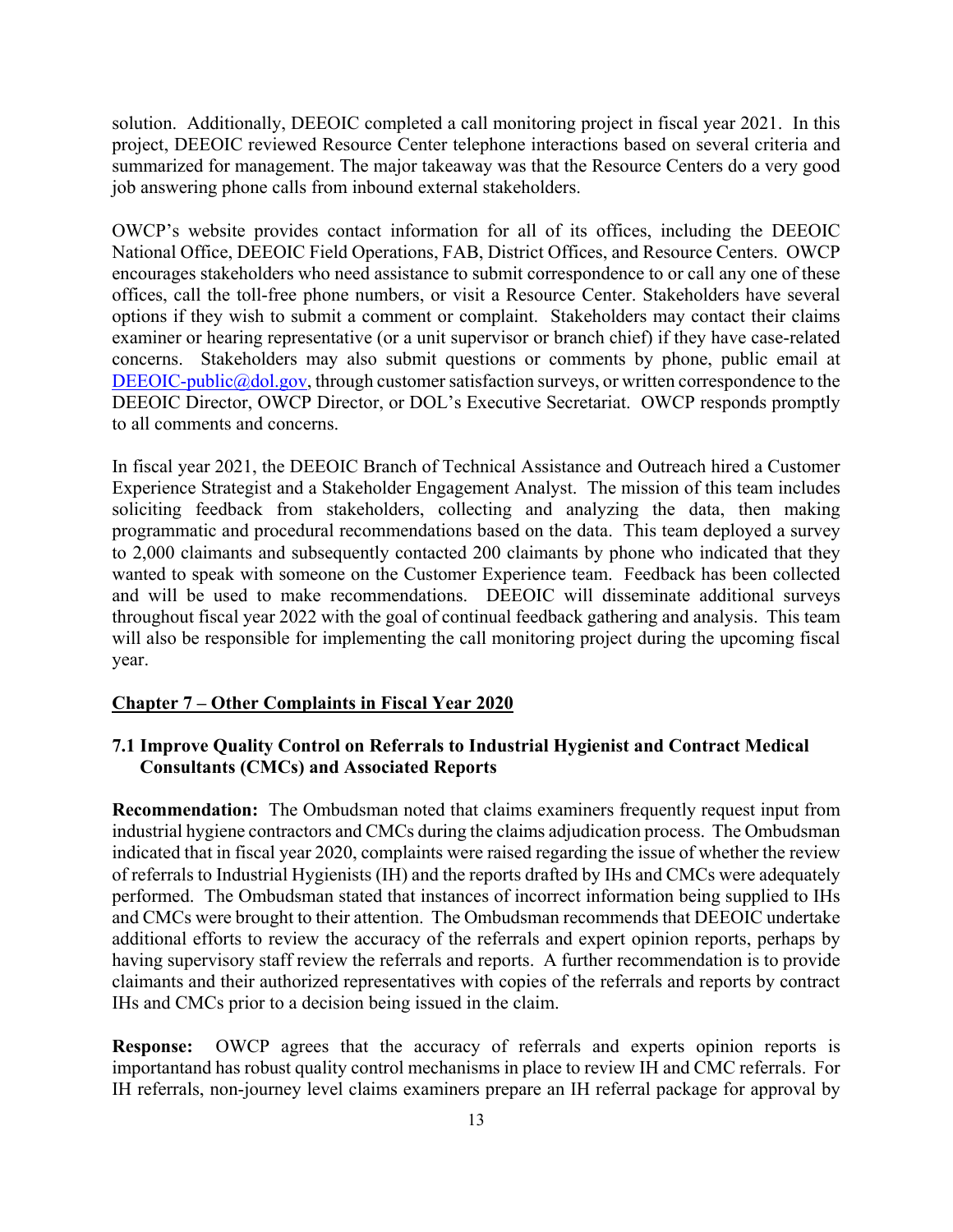solution. Additionally, DEEOIC completed a call monitoring project in fiscal year 2021. In this project, DEEOIC reviewed Resource Center telephone interactions based on several criteria and summarized for management. The major takeaway was that the Resource Centers do a very good job answering phone calls from inbound external stakeholders.

OWCP's website provides contact information for all of its offices, including the DEEOIC National Office, DEEOIC Field Operations, FAB, District Offices, and Resource Centers. OWCP encourages stakeholders who need assistance to submit correspondence to or call any one of these offices, call the toll-free phone numbers, or visit a Resource Center. Stakeholders have several options if they wish to submit a comment or complaint. Stakeholders may contact their claims examiner or hearing representative (or a unit supervisor or branch chief) if they have case-related concerns. Stakeholders may also submit questions or comments by phone, public email at DEEOIC-public@dol.gov, through customer satisfaction surveys, or written correspondence to the DEEOIC Director, OWCP Director, or DOL's Executive Secretariat. OWCP responds promptly to all comments and concerns.

In fiscal year 2021, the DEEOIC Branch of Technical Assistance and Outreach hired a Customer Experience Strategist and a Stakeholder Engagement Analyst. The mission of this team includes soliciting feedback from stakeholders, collecting and analyzing the data, then making programmatic and procedural recommendations based on the data. This team deployed a survey to 2,000 claimants and subsequently contacted 200 claimants by phone who indicated that they wanted to speak with someone on the Customer Experience team. Feedback has been collected and will be used to make recommendations. DEEOIC will disseminate additional surveys throughout fiscal year 2022 with the goal of continual feedback gathering and analysis. This team will also be responsible for implementing the call monitoring project during the upcoming fiscal year.

#### **Chapter 7 – Other Complaints in Fiscal Year 2020**

## **7.1 Improve Quality Control on Referrals to Industrial Hygienist and Contract Medical Consultants (CMCs) and Associated Reports**

**Recommendation:** The Ombudsman noted that claims examiners frequently request input from industrial hygiene contractors and CMCs during the claims adjudication process. The Ombudsman indicated that in fiscal year 2020, complaints were raised regarding the issue of whether the review of referrals to Industrial Hygienists (IH) and the reports drafted by IHs and CMCs were adequately performed. The Ombudsman stated that instances of incorrect information being supplied to IHs and CMCs were brought to their attention. The Ombudsman recommends that DEEOIC undertake additional efforts to review the accuracy of the referrals and expert opinion reports, perhaps by having supervisory staff review the referrals and reports. A further recommendation is to provide claimants and their authorized representatives with copies of the referrals and reports by contract IHs and CMCs prior to a decision being issued in the claim.

**Response:** OWCP agrees that the accuracy of referrals and experts opinion reports is importantand has robust quality control mechanisms in place to review IH and CMC referrals. For IH referrals, non-journey level claims examiners prepare an IH referral package for approval by